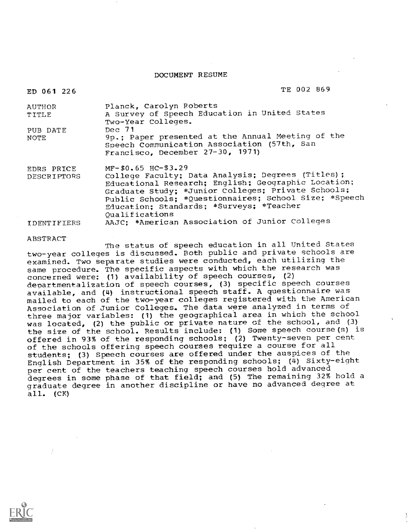#### DOCUMENT RESUME

| ED 061 226        | TE 002 869                                                                                                                           |
|-------------------|--------------------------------------------------------------------------------------------------------------------------------------|
| <b>AUTHOR</b>     | Planck, Carolyn Roberts                                                                                                              |
| TITLE             | A Survey of Speech Education in United States<br>Two-Year Colleges.                                                                  |
| PUB DATE          | Dec 71                                                                                                                               |
| NOTE              | 9p.; Paper presented at the Annual Meeting of the<br>Speech Communication Association (57th, San<br>Francisco, December 27-30, 1971) |
| <b>EDRS PRICE</b> | $MF-$0.65$ HC-\$3.29                                                                                                                 |
| DESCRIPTORS       | College Faculty; Data Analysis; Degrees (Titles);                                                                                    |
|                   | Educational Research; English; Geographic Location;                                                                                  |
|                   | Graduate Study; *Junior Colleges; Private Schools;                                                                                   |
|                   | Public Schools; *Questionnaires; School Size; *Speech                                                                                |
|                   | Education; Standards; *Surveys; *Teacher                                                                                             |
|                   | Oualifications                                                                                                                       |
| IDENTIFIERS       | AAJC; *American Association of Junior Colleges                                                                                       |

#### ABSTRACT

The status of speech education in all United States two-year colleges is discussed. Both public and private schools are examined. Two separate studies were conducted, each utilizing the same procedure. The specific aspects with which the research was concerned were: (1) availability of speech courses, (2) departmentalization of speech courses, (3) specific speech courses available, and (4) instructional speech staff. A questionnaire was mailed to each of the two-year colleges registered with the American Association of Junior Colleges. The data were analyzed in terms of three major variables: (1) the geographical area in which the school was located, (2) the public or private nature of the school, and (3) the size of the school. Results include: (1) Some speech course(s) is offered in 93% of the responding schools; (2) Twenty-seven per cent of the schools offering speech courses require a course for all students; (3) Speech courses are offered under the auspices of the English Department in 35% of the responding schools; (4) Sixty-eight per cent of the teachers teaching speech courses hold advanced degrees in some phase of that field; and (5) The remaining 32% hold a graduate degree in another discipline or have no advanced degree at all. (CK)

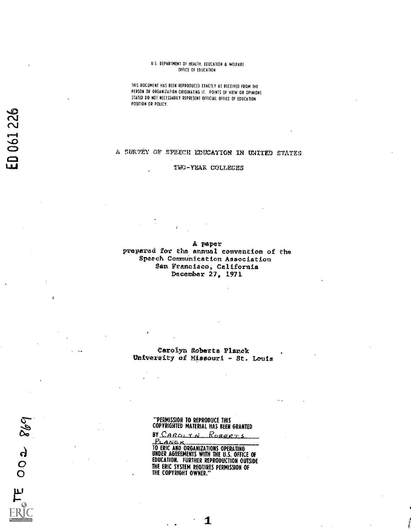#### U.S. DEPARTMENT OF HEALTH, EDUCATION & WELFARE OFFICE OF EDUCATION

THIS DOCUMENT HAS BEEN REPRODUCED EXACTLY AS RECEIVED FROM THE PERSON OR ORGANIZATION ORIGINATING IT. POINTS OF VIEW OR OPINIONS STATED DO NOT NECESSARILY REPRESENT OFFICIAL OFFICE OF EDUCATION POSITION OR POLICY.

# A SURVEY OF SPEECH EDUCATION IN UNITED STATES

**TWO-YEAR COLLEGES** 

A paper prepared for the annual convention of the Spaech Communication Association San Francisco, California December 27, 1971

Carolyn Roberts Planck University of Missouri - St. Louis

"PERMISSION TO REPRODUCE THIS<br>COPYRIGHTED MATERIAL HAS BEEN GRANTED

BY CAROLYN ROBERTS

PL ANG K<br>TO ERIC AND ORGANIZATIONS OPERATING<br>UNDER AGREEMENTS WITH THE U.S. OFFICE OF<br>EDUCATION. FURTHER REPRODUCTION OUTSIDE THE ERIC SYSTEM REQUIRES PERMISSION OF THE COPYRIGHT OWNER."

 $869$ 

 $\frac{9}{2}$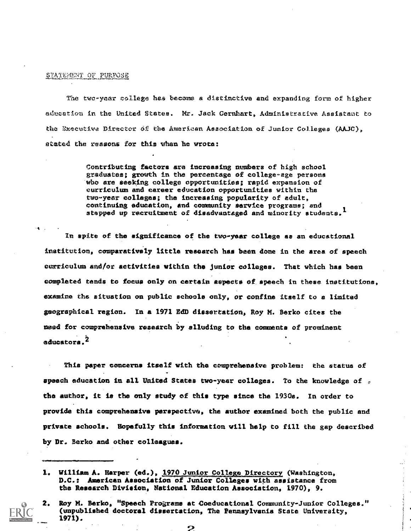#### STATEMENT OF PURPOSE

The two-year college has become a distinctive and expanding form of higher adueation in the United States. Mr. Jack Gernhart, Administrative Assistant to the Executive Director of the American Association of Junior Colleges (AAJC), atated the reasons for this when he wrote:

> Contributing factors are increasing nuebers of high school graduates; growth in the percentage of college-ege persons who are seeking college opportunities; rapid expansion of curriculum and career education opportunities within the two-year colleges; the increasing popularity of adult, continuing edueation, and community service programs; and stepped up recruitment of disadvantaged and minority students.<sup>1</sup>

In spite of the significance of the two-year college as an educational institution, comparatively little research has been done in the area of speech curriculum end/or activities within the junior colleges. That which has been completed tends to focus only on certain spects of speech in these institutions, examine the situation on public schools only, or confine itself to a limited geographical region. In a 1971 EdD dLesertstton, Roy M. Berko cites the meed for comprehensive research by alluding to the comments of prominent educators.<sup>2</sup>

This paper concerns itself with the cemprehensive problem: the status of speech education in all United States two-year colleges. To the knowledge of  $\sigma$ the author, it is the only study of this type since the 1930s. In order to provide this comprehensive perspective, the author examined both the public and private schools. Hopefully this information mill help to fill the gap described by Dr. Berko and other colleagues.

<sup>1.</sup> William A. Harper (ed.), 1970 Junior College Directory (Washington, D.C.: American Association of Junior Colleges with assistance from the Research Division, National Education Association, 1970), 9.

<sup>2.</sup> Roy M. Berko, "Speech Programs at Coeducational Community-Junior Colleges." (unpublished doctoral dissertation, The Pennsylvania State University, 1971),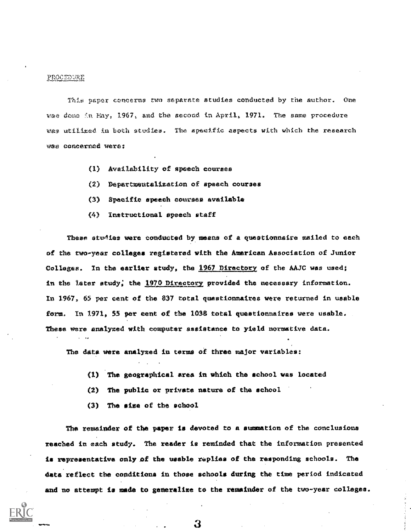#### PROCEDURE

This paper cencerns two separate studies conducted by the author. One was done in May, 1967, and the second in April. 1971. The same procedure wes utilized in both studies. The specific aspects with which the research vas concerned were:

- (1) Availability of speech coursee
- (2) Departmeutalization of speech courses
- (3) Specific speech courses available
- (4) Instructional speech staff

These studies were conducted by means of a questionnaire mailed to each f the rwo-year colleges registered vith the American Association of Junior Collages. In the earlier study, the 1967 Directory of the AAJC was used; in the later study; the 1970 Directory provided the necessary information. In 1967, 65 per cent of the 837 total questionnaires were returned in usable form. In 1971, 55 per cent of the 1038 total questionnaires were usable. These were analyzed with computer assistance to yield normative data.

The data were analyzed in terms of three major variables:

- (1) The geographical area in which the school was located
- (2) The public or private nature of the school
- (3) The size of the school

The remainder of the paper is devoted to a summation of the conclusions reached in each study. The reader is reminded that the information presented is representative only of the usable replies of the responding schools. The data reflect the conditions in those schools during the tine period indicated and no attempt is made to generalize to the remainder of the two-year colleges.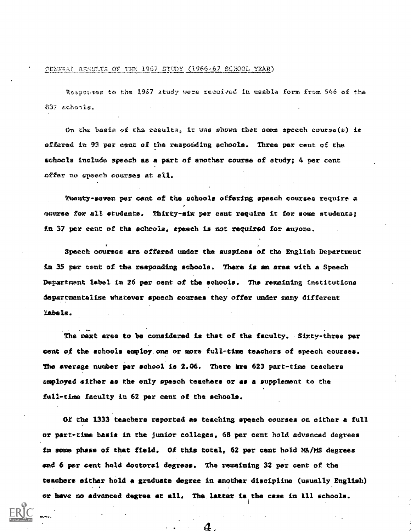#### CENERAL RESULTS OF THE 1967 STUDY (1966-67 SCHOOL YEAR)

Responses to the 1967 atudy were received in usable form from 546 of the 837 schools.

On the basis of the results, it was shown that some speech course(s) is offared in 93 per cent of the responding schools. Three per cent of the schools include speech as a part of another course of study; 4 per cent offer no speech courses at all.

Twenty-seven per cant of the schools offering speach courses require a course for all students. Thirty-six per cent require it for some students; in 37 per cent of the schools, speech is not required for anyone.

Speech courses are offered under the auspices of the English Department in 35 per cent of the responding schools. There is an area with a Speech Department label in 26 par cent of the schools. The remaining institutions departmentalize whatever speech courses they offer under many different labels.

The next area to be considered is that of the faculty. Sixty-three per cent of the schools employ one or more full-time teachers of speech courses. The average number per school is 2.06. There are 623 part-time teachers employed either as the only speach teachers or as a supplement to the full-time faculty in 62 per cent of the schools.

Of the 1333 teachers reported as teaching speech courses on either a full or part-time basis in the junior colleges, 68 per cent hold advanced degrees in some phase of that field. Of this total, 62 per cent hold MA/MS degrees and 6 per cent hold doctoral degrees. The remaining 32 per cent of the teachers either hold a graduate degree in another discipline (usually English) or have no advanced degree at all. The latter is the case in 111 schools.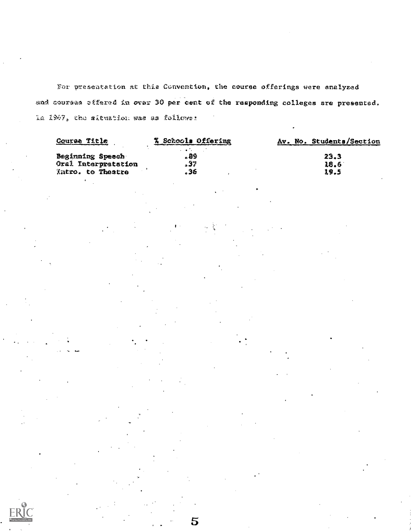For presentation at this Convention, the course offerings were analyzed and courses effered in over 30 per cent of the responding colleges are presented. la 1967, the aftuation was as follows:

| Course Title        | % Schools Offering                | Av. No. Students/Section |
|---------------------|-----------------------------------|--------------------------|
|                     | <b>Contract Contract Contract</b> |                          |
| Beginning Speech    | . 89                              | 23.3                     |
| Oral Interpretation | -37                               | 18.6                     |
| Intro. to Theatre   | - 36                              | 19.5                     |
|                     |                                   |                          |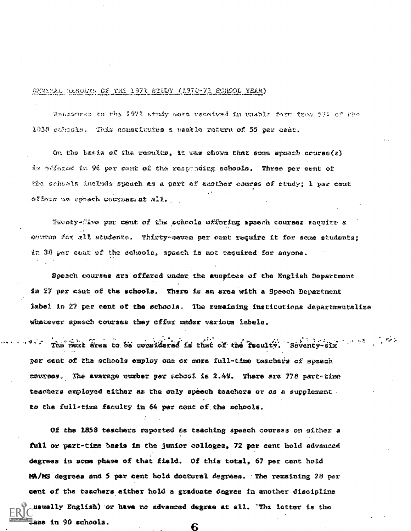# RESULTS OF THE 1971 STUDY (1970-73 SCHOOL YEAR)

Hencourse to the 1971 study were received in usable form from 574 of the 1038 echosis. This constitutes a vaatle raturn of 55 per cant.

On the basis of the results, it was shown that some speach course(s) is attened in 96 per cant of the resyunding schools. Three per cent of the schools include speach as a part of another course of study; I per cent offers no opeach courses at all.

Taunty-five par cent of the achools offering spacch courses require a course for all students. Thirty-savan per cent require it for some students; in 38 par cent of the schools, spaech is not required for anyone.

Speach courses are offered under the auspices of the English Department in 27 per cant of the schools. There is an area with a Speech Department label in 27 per cent of the schools. The remaining institutions departmentalize whatever speech courses they offer under various labels.

The next area to be considered is that of the feculty. Seventy-six per cent of the schools employ one or more full-time teachers of speech courses. The avarage number per school is 2.49. There are 778 part-time teachers employed either as the only speech teachers or as a supplement. to the full-time faculty in 54 per cent of the schools.

Of the 1858 teachers reported as teaching speech courses on either a full or part-time basis in the junior colleges, 72 per cent hold advanced degrees in some phase of that field. Of this total, 67 per cent hold MA/MS degrees and 5 par cent hold doctoral degrees. The remaining 28 per cent of the teachers either hold a graduate degree in another discipline usually English) or have no advanced degree at all. "The latter is the laze in 90 schools.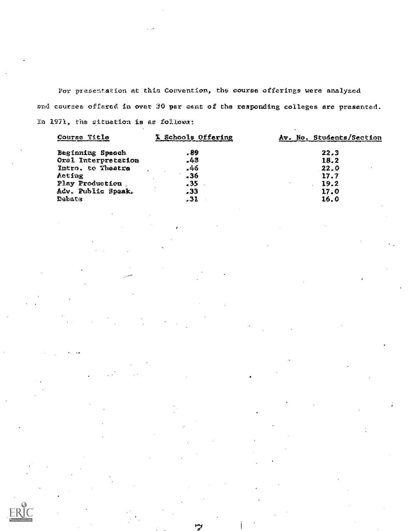For presentation at this Convention, the course offerings were analyzed sad courses offared in over 30 par cant of the responding colleges are presented. In 1971, the situation is as followa:

| Course Title        | X Schools Offering | Av. No. Students/Section |
|---------------------|--------------------|--------------------------|
| Beginning Speech    | . 89               | 22.3                     |
| Oral Interpretation | .43                | 18.2                     |
| Intro. to Theatre   | -46                | 22.0                     |
| Acting              | 36ء                | 17.7                     |
| Play Production     | . 35               | 19.2                     |
| Adv. Public Spaak.  | . 33               | 17.0                     |
| Debata              | .31                | 16.0                     |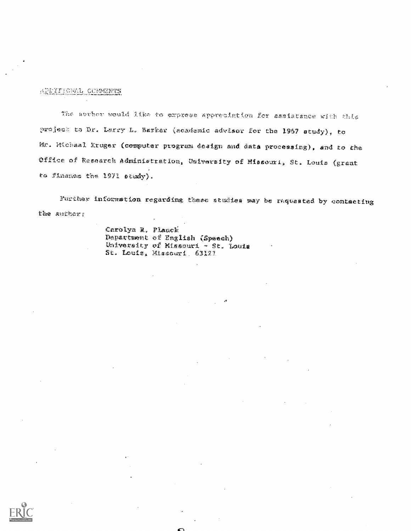## **ARRITIONAL CONNEMIS**

The auvior would like to express appreciation for assistance with this project to Dr. Lerry L. Barker (academic advisor for the 1967 atudy), to Mr. Hichaal Xruger (computer program design and data processing), and to the Office of Research Administration, University of Missouri, St. Louis (grant to Finance the 1971 study).

Further information regarding these atulies way be raquested by contacting the sufficit

> Carolyn R. Planck Department of English (Speech) University of Missouri - St. Louis St. Louis, Missouri, 63121